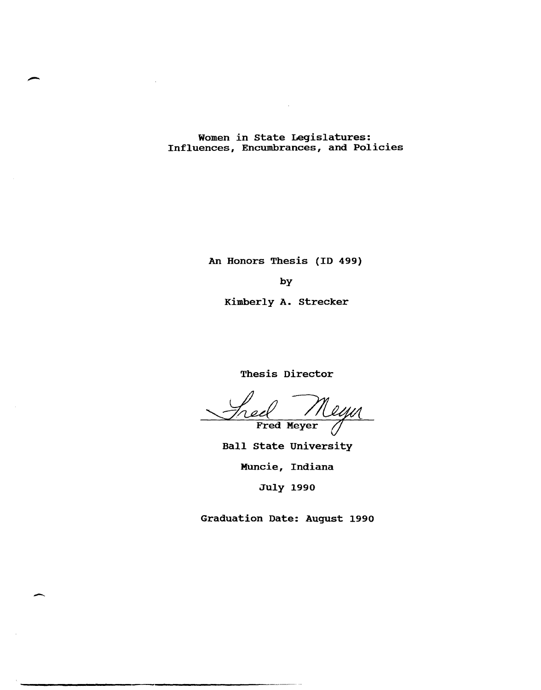Women in state Legislatures: Influences, Encumbrances, and Policies

.",....

An Honors Thesis (ID 499)

by

Kimberly A. Strecker

Thesis Director

Treel Meyer

Ball State University

Muncie, Indiana

July 1990

Graduation Date: August 1990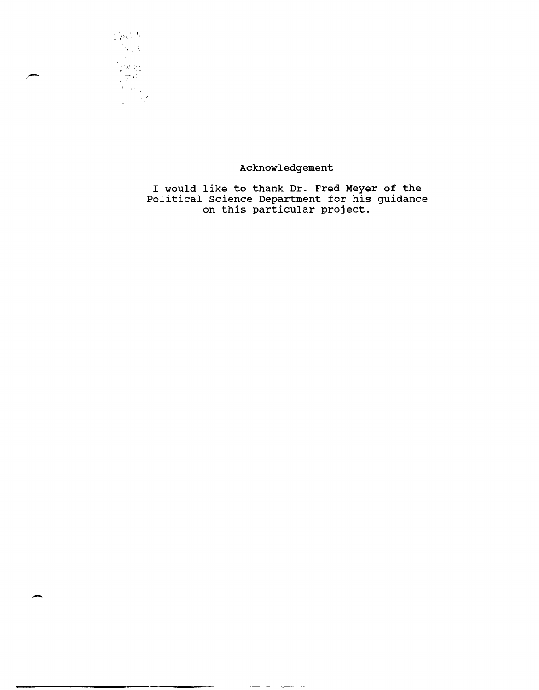

-

 $\sim$   $\sim$ 

## Acknowledgement

I would like to thank Dr. Fred Meyer of the Political Science Department for his guidance on this particular project.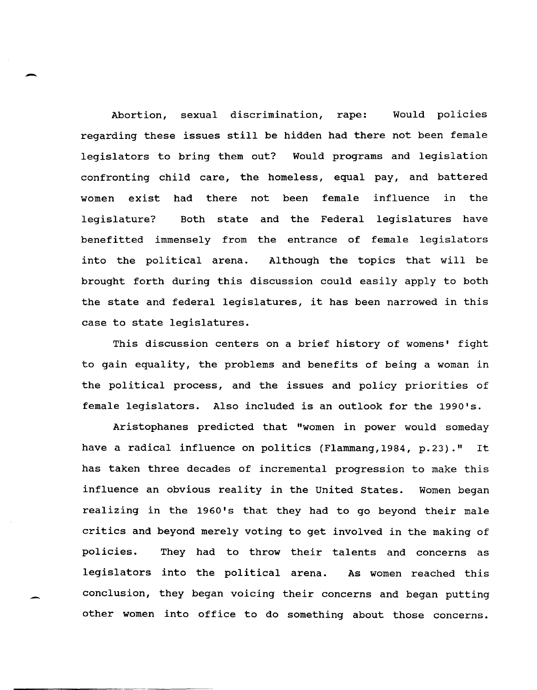Abortion, sexual discrimination, rape: Would policies regarding these issues still be hidden had there not been female legislators to bring them out? Would programs and legislation confronting child care, the homeless, equal pay, and battered women exist had there not been female influence in the legislature? Both state and the Federal legislatures have benefitted immensely from the entrance of female legislators into the political arena. Although the topics that will be brought forth during this discussion could easily apply to both the state and federal legislatures, it has been narrowed in this case to state legislatures.

-

-

This discussion centers on a brief history of womens' fight to gain equality, the problems and benefits of being a woman in the political process, and the issues and policy priorities of female legislators. Also included is an outlook for the 1990's.

Aristophanes predicted that "women in power would someday have a radical influence on politics (Flammang, 1984, p.23)." It has taken three decades of incremental progression to make this influence an obvious reality in the united states. Women began realizing in the 1960's that they had to go beyond their male critics and beyond merely voting to get involved in the making of policies. They had to throw their talents and concerns as legislators into the political arena. As women reached this conclusion, they began voicing their concerns and began putting other women into office to do something about those concerns.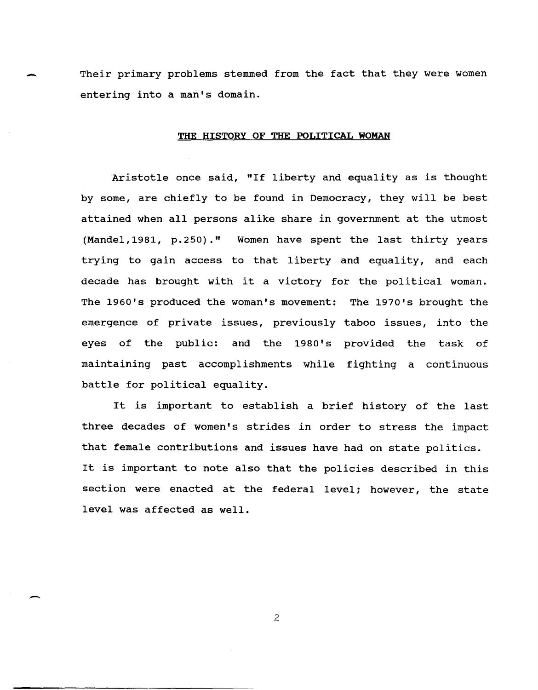Their primary problems stemmed from the fact that they were women entering into a man's domain.

#### THE HISTORY OF THE POLITICAL WOMAN

Aristotle once said, "If liberty and equality as is thought by some, are chiefly to be found in Democracy, they will be best attained when all persons alike share in government at the utmost (Mandel, 1981, p.250)." Women have spent the last thirty years trying to gain access to that liberty and equality, and each decade has brought with it a victory for the political woman. The 1960's produced the woman's movement: The 1970's brought the emergence of private issues, previously taboo issues, into the eyes of the public: and the 1980's provided the task of maintaining past accomplishments while fighting a continuous battle for political equality.

It is important to establish a brief history of the last three decades of women's strides in order to stress the impact that female contributions and issues have had on state politics. It is important to note also that the policies described in this section were enacted at the federal level; however, the state level was affected as well .

2

. -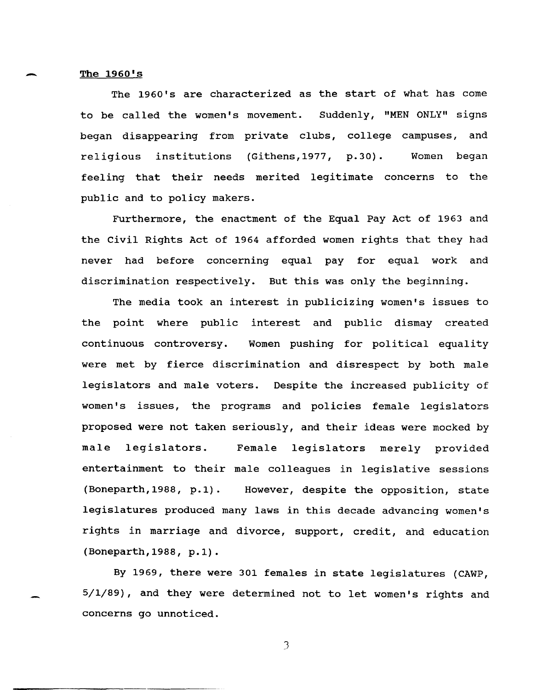#### The 1960's

The 1960's are characterized as the start of what has come to be called the women's movement. Suddenly, "MEN ONLY" signs began disappearing from private clubs, college campuses, and religious institutions (Githens, 1977, p.30). Women began feeling that their needs merited legitimate concerns to the public and to policy makers.

Furthermore, the enactment of the Equal Pay Act of 1963 and the civil Rights Act of 1964 afforded women rights that they had never had before concerning equal pay for equal work and discrimination respectively. But this was only the beginning.

The media took an interest in publicizing women's issues to the point where public interest and public dismay created continuous controversy. Women pushing for political equality were met by fierce discrimination and disrespect by both male legislators and male voters. Despite the increased publicity of women's issues, the programs and policies female legislators proposed were not taken seriously, and their ideas were mocked by male legislators. Female legislators merely provided entertainment to their male colleagues in legislative sessions (Boneparth,1988, p.1). However, despite the opposition, state legislatures produced many laws in this decade advancing women's rights in marriage and divorce, support, credit, and education (Boneparth,1988, p.1).

By 1969, there were 301 females in state legislatures (CAWP, 5/1/89), and they were determined not to let women's rights and concerns go unnoticed.

J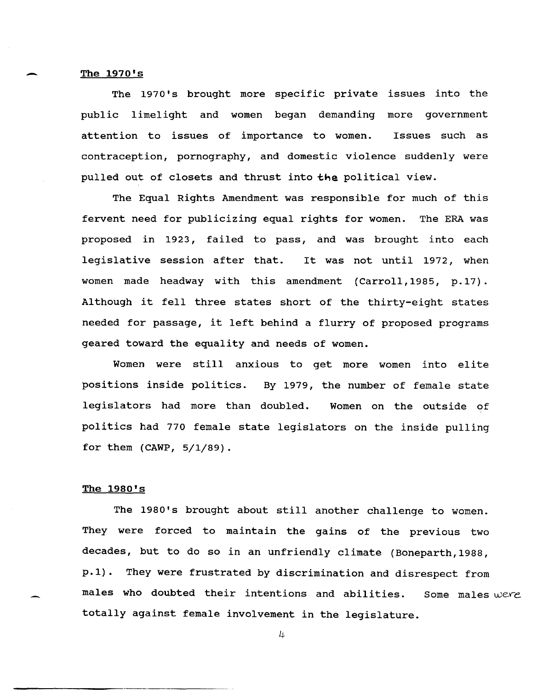#### ~ The 1970's

The 1970's brought more specific private issues into the public limelight and women began demanding more government attention to issues of importance to women. Issues such as contraception, pornography, and domestic violence suddenly were pulled out of closets and thrust into the political view.

The Equal Rights Amendment was responsible for much of this fervent need for publicizing equal rights for women. The ERA was proposed in 1923, failed to pass, and was brought into each legislative session after that. It was not until 1972, when women made headway with this amendment (Carroll, 1985, p.17). Although it fell three states short of the thirty-eight states needed for passage, it left behind a flurry of proposed programs geared toward the equality and needs of women.

Women were still anxious to get more women into elite positions inside politics. By 1979, the number of female state legislators had more than doubled. Women on the outside of politics had 770 female state legislators on the inside pulling for them (CAWP, 5/1/89).

#### The 1980's

The 1980's brought about still another challenge to women. They were forced to maintain the gains of the previous two decades, but to do so in an unfriendly climate (Boneparth,1988, p.1). They were frustrated by discrimination and disrespect from males who doubted their intentions and abilities. totally against female involvement in the legislature. Some males were.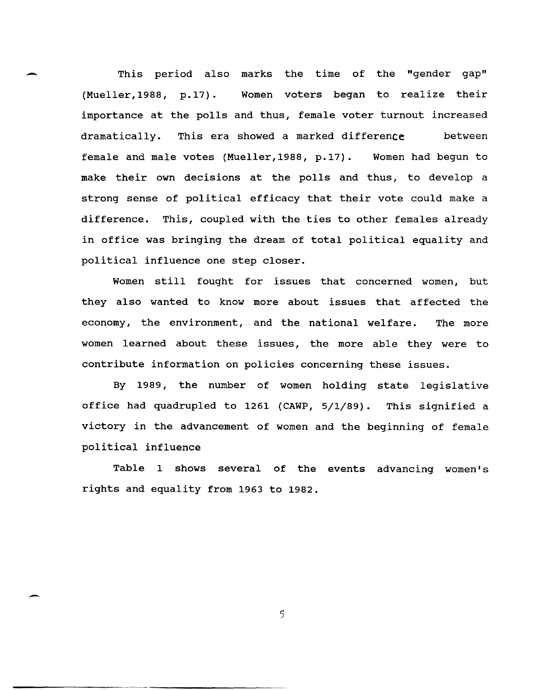This period also marks the time of the "gender gap" (Mueller,1988, p.17). Women voters began to realize their importance at the polls and thus, female voter turnout increased dramatically. This era showed a marked difference between female and male votes (Mueller, 1988, p.17). Women had begun to make their own decisions at the polls and thus, to develop a strong sense of political efficacy that their vote could make a difference. This, coupled with the ties to other females already in office was bringing the dream of total political equality and political influence one step closer.

-

-

Women still fought for issues that concerned women, but they also wanted to know more about issues that affected the economy, the environment, and the national welfare. The more women learned about these issues, the more able they were to contribute information on policies concerning these issues.

By 1989, the number of women holding state legislative office had quadrupled to 1261 (CAWP, 5/1/89). This signified a victory in the advancement of women and the beginning of female political influence

Table 1 shows several of the events advancing women's rights and equality from 1963 to 1982.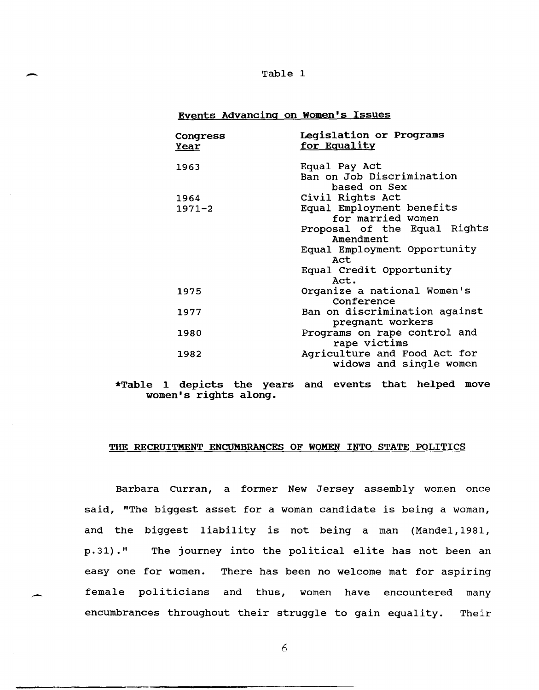example 1 and 2 and 2 and 2 and 2 and 2 and 2 and 2 and 2 and 2 and 2 and 2 and 2 and 2 and 2 and 2 and 2 and 2 and 2 and 2 and 2 and 2 and 2 and 2 and 2 and 2 and 2 and 2 and 2 and 2 and 2 and 2 and 2 and 2 and 2 and 2 an

## Events Advancing on Women's Issues

| Congress<br><u>Year</u> | Legislation or Programs<br>for Equality                    |
|-------------------------|------------------------------------------------------------|
| 1963                    | Equal Pay Act<br>Ban on Job Discrimination<br>based on Sex |
| 1964                    | Civil Rights Act                                           |
| $1971 - 2$              | Equal Employment benefits<br>for married women             |
|                         | Proposal of the Equal Rights<br>Amendment                  |
|                         | Equal Employment Opportunity<br>Act                        |
|                         | Equal Credit Opportunity<br>Act.                           |
| 1975                    | Organize a national Women's<br>Conference                  |
| 1977                    | Ban on discrimination against<br>pregnant workers          |
| 1980                    | Programs on rape control and<br>rape victims               |
| 1982                    | Agriculture and Food Act for<br>widows and single women    |

\*Table 1 depicts the years and events that helped move women's rights along.

## THE RECRUITMENT ENCUMBRANCES OF WOMEN INTO STATE POLITICS

Barbara Curran, a former New Jersey assembly women once said, "The biggest asset for a woman candidate is being a woman, and the biggest liability is not being a man (Mandel,1981, p.31)." The journey into the political elite has not been an easy one for women. There has been no welcome mat for aspiring female politicians and thus, women have encountered many encumbrances throughout their struggle to gain equality. Their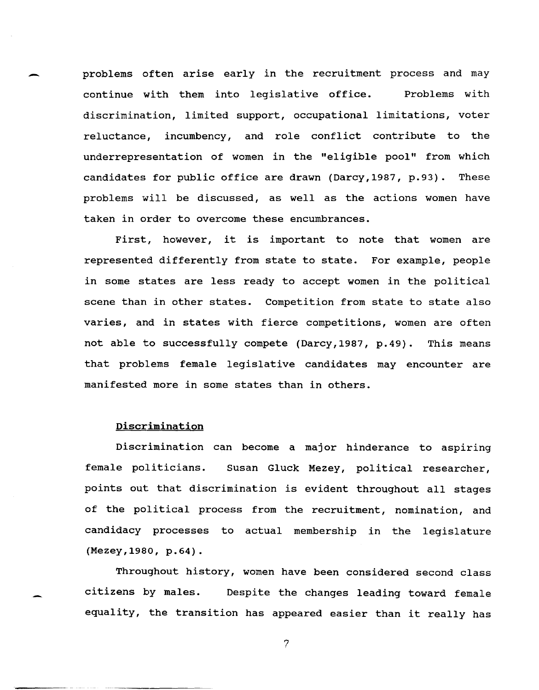- problems often arise continue with them into legislative office. Problems with early in the recruitment process and may discrimination, limited support, occupational limitations, voter reluctance, incumbency, and role conflict contribute to the underrepresentation of women in the "eligible pool" from which candidates for public office are drawn (Darcy,1987, p.93). These problems will be discussed, as well as the actions women have taken in order to overcome these encumbrances.

> First, however, it is important to note that women are represented differently from state to state. For example, people in some states are less ready to accept women in the political scene than in other states. Competition from state to state also varies, and in states with fierce competitions, women are often not able to successfully compete (Darcy,1987, p.49). This means that problems female legislative candidates may encounter are manifested more in some states than in others.

## Discrimination

Discrimination can become a major hinderance to aspiring female politicians. Susan Gluck Mezey, political researcher, points out that discrimination is evident throughout all stages of the political process from the recruitment, nomination, and candidacy processes to actual membership in the legislature (Mezey,1980, p.64).

Throughout history, women have been considered second class citizens by males. Despite the changes leading toward female equality, the transition has appeared easier than it really has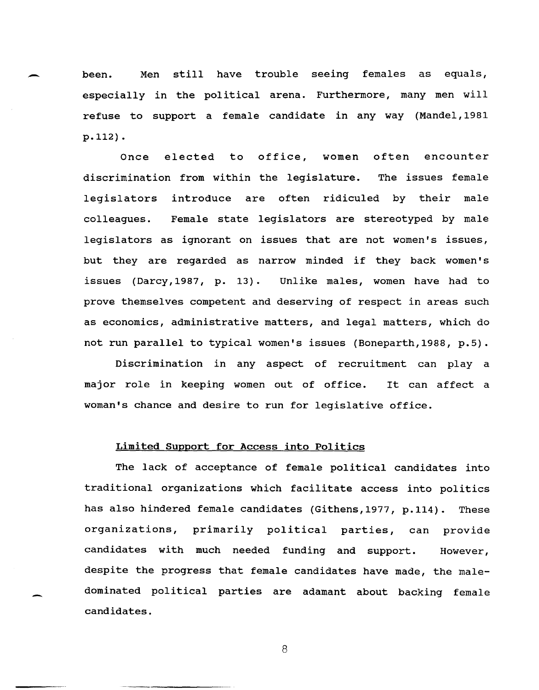been. Men still have trouble seeing females as equals, especially in the political arena. Furthermore, many men will refuse to support a female candidate in any way (Mandel, 1981 p.112).

-

-

Once elected to office, women often encounter discrimination from within the legislature. The issues female legislators introduce are often ridiculed by their male colleagues. Female state legislators are stereotyped by male legislators as ignorant on issues that are not women's issues, but they are regarded as narrow minded if they back women's issues (Darcy, 1987, p. 13). Unlike males, women have had to prove themselves competent and deserving of respect in areas such as economics, administrative matters, and legal matters, which do not run parallel to typical women's issues (Boneparth,1988, p.5).

Discrimination in any aspect of recruitment can play a major role in keeping women out of office. It can affect a woman's chance and desire to run for legislative office.

## Limited Support for Access into Politics

The lack of acceptance of female political candidates into traditional organizations which facilitate access into politics has also hindered female candidates (Githens, 1977, p.114). These organizations, primarily political parties, can provide candidates with much needed funding and support. However, despite the progress that female candidates have made, the maledominated political parties are adamant about backing female candidates.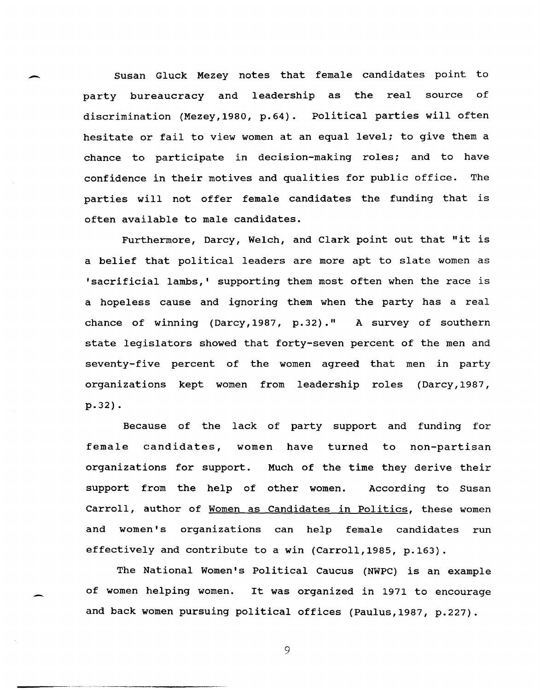Susan Gluck Mezey notes that female candidates point to party bureaucracy and leadership as the real source of discrimination (Mezey, 1980, p.64). Political parties will often hesitate or fail to view women at an equal level; to give them a chance to participate in decision-making roles; and to have confidence in their motives and qualities for public office. The parties will not offer female candidates the funding that is often available to male candidates.

-

-

Furthermore, Darcy, Welch, and Clark point out that "it is a belief that political leaders are more apt to slate women as 'sacrificial lambs,' supporting them most often when the race is a hopeless cause and ignoring them when the party has a real chance of winning (Darcy,1987, p.32)." A survey of southern state legislators showed that forty-seven percent of the men and seventy-five percent of the women agreed that men in party organizations kept women from leadership roles (Darcy,1987, p.32).

Because of the lack of party support and funding for female candidates, women have turned to non-partisan organizations for support. Much of the time they derive their support from the help of other women. According to Susan Carroll, author of Women as Candidates in Politics, these women and women's organizations can help female candidates run effectively and contribute to a win (Carroll,1985, p.163).

The National Women's Political Caucus (NWPC) is an example of women helping women. It was organized in 1971 to encourage and back women pursuing political offices (Paulus, 1987, p.227).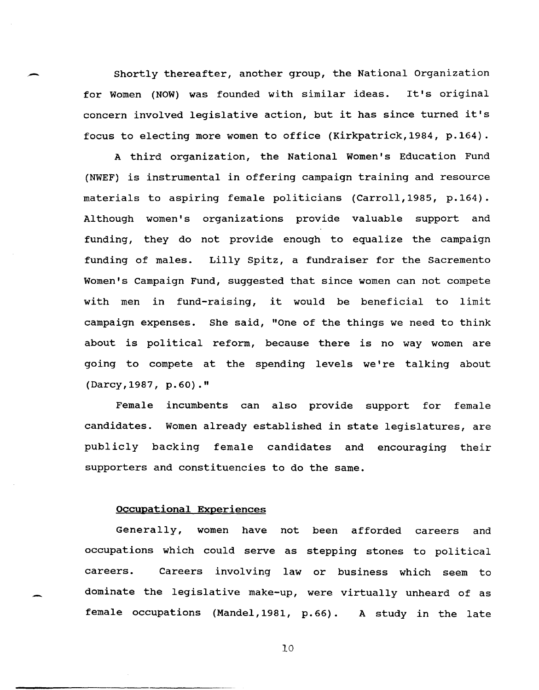Shortly thereafter, another group, the National Organization for Women (NOW) was founded with similar ideas. It's original concern involved legislative action, but it has since turned it's focus to electing more women to office (Kirkpatrick, 1984, p.164).

A third organization, the National Women's Education Fund (NWEF) is instrumental in offering campaign training and resource materials to aspiring female politicians (Carroll, 1985, p.164). Although women's organizations provide valuable support and funding, they do not provide enough to equalize the campaign funding of males. Lilly Spitz, a fundraiser for the Sacremento Women's Campaign Fund, suggested that since women can not compete with men in fund-raising, it would be beneficial to limit campaign expenses. She said, "One of the things we need to think about is political reform, because there is no way women are going to compete at the spending levels we're talking about (Darcy, 1987, p.60)."

Female incumbents can also provide support for female candidates. Women already established in state legislatures, are publicly backing female candidates and encouraging their supporters and constituencies to do the same.

## Occupational Experiences

Generally, women have not been afforded careers and occupations which could serve as stepping stones to political careers. Careers involving law or business which seem to dominate the legislative make-up, were virtually unheard of as female occupations (Mandel, 1981, p. 66) . A study in the late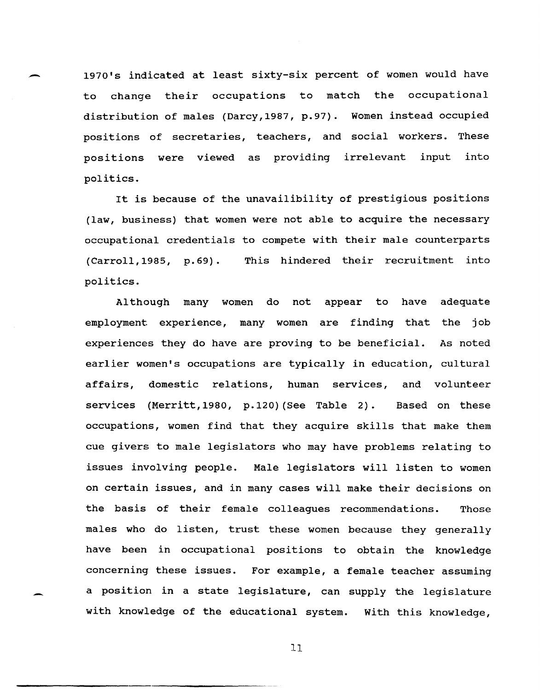1970's indicated at least sixty-six percent of women would have to change their occupations to match the occupational distribution of males (Darcy, 1987, p.97). Women instead occupied positions of secretaries, teachers, and social workers. These positions were viewed as providing irrelevant input politics. into

It is because of the unavailibility of prestigious positions (law, business) that women were not able to acquire the necessary occupational credentials to compete with their male counterparts (Carroll, 1985, p.69). This hindered their recruitment into politics.

Although many women do not appear to have employment experience, many women are finding that the job adequate experiences they do have are proving to be beneficial. As noted earlier women's occupations are typically in education, cultural affairs, domestic relations, human services, and volunteer services (Merritt, 1980, p.120) (see Table 2). Based on these occupations, women find that they acquire skills that make them cue givers to male legislators who may have problems relating to issues involving people. Male legislators will listen to women on certain issues, and in many cases will make their decisions on the basis of their female colleagues recommendations. Those males who do listen, trust these women because they generally have been in occupational positions to obtain the knowledge concerning these issues. For example, a female teacher assuming a position in a state legislature, can supply the legislature with knowledge of the educational system. with this knowledge,

11

-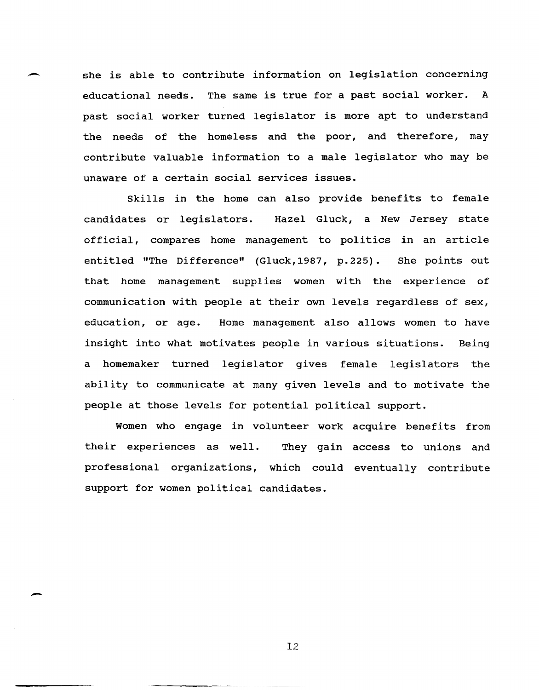she is able to contribute information on legislation concerning educational needs. The same is true for a past social worker. A past social worker turned legislator is more apt to understand the needs of the homeless and the poor, and therefore, may contribute valuable information to a male legislator who may be unaware of a certain social services issues.

Skills in the home can also provide benefits to female candidates or legislators. Hazel Gluck, a New Jersey state official, compares home management to politics in an article entitled "The Difference" (Gluck,1987, p.225). She points out that home management supplies women with the experience of communication with people at their own levels regardless of sex, education, or age. Home management also allows women to have insight into what motivates people in various situations. Being a homemaker turned legislator gives female legislators the ability to communicate at many given levels and to motivate the people at those levels for potential political support.

Women who engage in volunteer work acquire benefits from their experiences as well. They gain access to unions and professional organizations, which could eventually contribute support for women political candidates.

12

-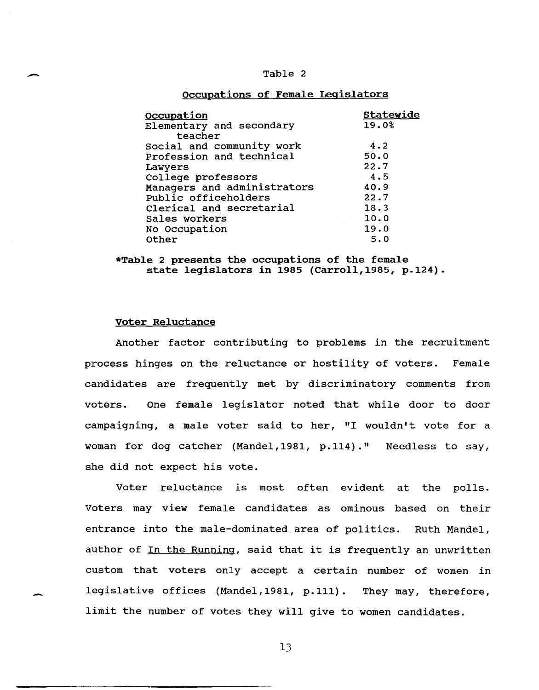# example 2 and 2 and 2 and 2 and 2 and 2 and 2 and 2 and 2 and 2 and 2 and 2 and 2 and 2 and 2 and 2 and 2 and 2

## occupations of Female Legislators

| <b>Occupation</b>           | Statewide |
|-----------------------------|-----------|
| Elementary and secondary    | 19.0%     |
| teacher                     |           |
| Social and community work   | 4.2       |
| Profession and technical    | 50.0      |
| Lawyers                     | 22.7      |
| College professors          | 4.5       |
| Managers and administrators | 40.9      |
| Public officeholders        | 22.7      |
| Clerical and secretarial    | 18.3      |
| Sales workers               | 10.0      |
| No Occupation               | 19.0      |
| Other                       | 5.0       |

\*Table 2 presents the occupations of the female state legislators in 1985 (Carroll, 1985, p.124).

#### Voter Reluctance

Another factor contributing to problems in the recruitment process hinges on the reluctance or hostility of voters. Female candidates are frequently met by discriminatory comments from voters. One female legislator noted that while door to door campaigning, a male voter said to her, "I wouldn't vote for a woman for dog catcher (Mandel, 1981, p.114)." Needless to say, she did not expect his vote.

Voter reluctance is most often evident at the polls. Voters may view female candidates as ominous based on their entrance into the male-dominated area of politics. Ruth Mandel, author of In the Running, said that it is frequently an unwritten custom that voters only accept a certain number of women in legislative offices (Mandel, 1981, p.111). They may, therefore, limit the number of votes they will give to women candidates.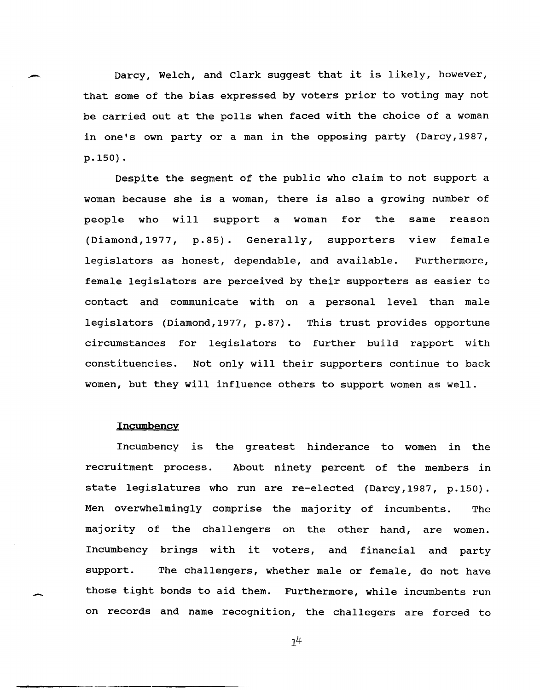Darcy, Welch, and Clark suggest that it is likely, however, that some of the bias expressed by voters prior to voting may not be carried out at the polls when faced with the choice of a woman in one's own party or a man in the opposing party (Darcy, 1987, p.150).

Despite the segment of the public who claim to not support a woman because she is a woman, there is also a growing number of people who will support a woman for the same reason (Diamond,1977, p.85). Generally, supporters view female legislators as honest, dependable, and available. Furthermore, female legislators are perceived by their supporters as easier to contact and communicate with on a personal level than male legislators (Diamond, 1977, p.87). This trust provides opportune circumstances for legislators to further build rapport with constituencies. Not only will their supporters continue to back women, but they will influence others to support women as well.

### Incumbency

 $\overline{\phantom{0}}$ 

-

Incumbency is the greatest hinderance to women in the recruitment process. About ninety percent of the members in state legislatures who run are re-elected (Darcy, 1987, p.150). Men overwhelmingly comprise the majority of incumbents. The majority of the challengers on the other hand, are women. Incumbency brings with it voters, and financial and party support. The challengers, whether male or female, do not have those tight bonds to aid them. Furthermore, while incumbents run on records and name recognition, the challegers are forced to

 $1^{4}$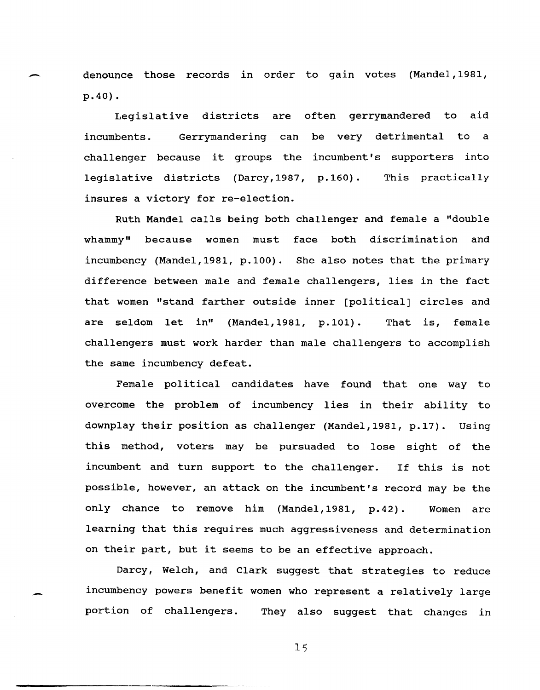- denounce those records in order to gain votes (Mandel, 1981, p.40).

Legislative districts are often gerrymandered to aid incumbents. Gerrymandering can be very detrimental to a challenger because it groups the incumbent's supporters into legislative districts (Darcy, 1987, insures a victory for re-election. This practically

Ruth Mandel calls being both challenger and female a "double whammy" because women must face both discrimination and incumbency (Mandel, 1981, p.100). She also notes that the primary difference between male and female challengers, lies in the fact that women "stand farther outside inner [political] circles and are seldom let in" (Mandel, 1981, p.101). That is, female challengers must work harder than male challengers to accomplish the same incumbency defeat.

Female political candidates have found that one way to overcome the problem of incumbency lies in their ability to downplay their position as challenger (Mandel, 1981, p.17). Using this method, voters may be pursuaded to lose sight of the incumbent and turn support to the challenger. If this is not possible, however, an attack on the incumbent's record may be the only chance to remove him (Mandel, 1981, p.42). Women are learning that this requires much aggressiveness and determination on their part, but it seems to be an effective approach.

Darcy, Welch, and Clark suggest that strategies to reduce incumbency powers benefit women who represent a relatively large portion of challengers. They also suggest that changes in

IS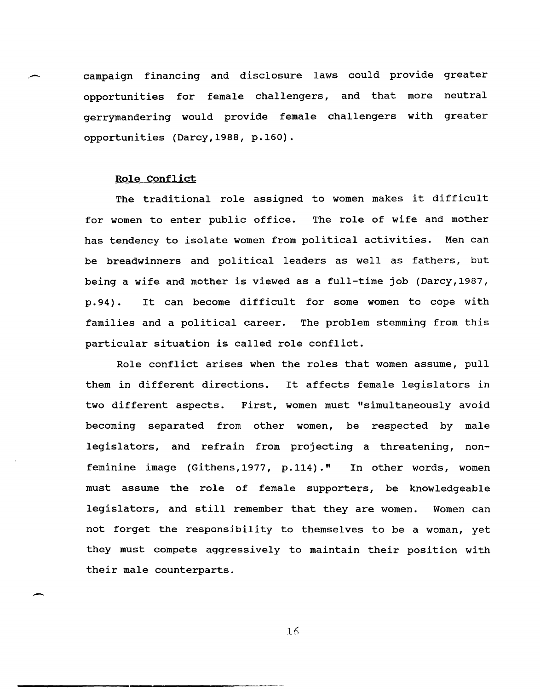campaign financing and disclosure laws could provide greater opportunities for female challengers, and that more neutral gerrymandering would provide female challengers with greater opportunities (Darcy, 1988, p.160).

#### Role Conflict

-

The traditional role assigned to women makes it difficult for women to enter public office. The role of wife and mother has tendency to isolate women from political activities. Men can be breadwinners and political leaders as well as fathers, but being a wife and mother is viewed as a full-time job (Darcy,1987, p. 94) . It can become difficult for some women to cope with families and a political career. The problem stemming from this particular situation is called role conflict.

Role conflict arises when the roles that women assume, pull them in different directions. It affects female legislators in two different aspects. First, women must "simultaneously avoid becoming separated from other women, be respected by male legislators, and refrain from projecting a threatening, nonfeminine image (Githens, 1977, p.114)." In other words, women must assume the role of female supporters, be knowledgeable legislators, and still remember that they are women. Women can not forget the responsibility to themselves to be a woman, yet they must compete aggressively to maintain their position with their male counterparts.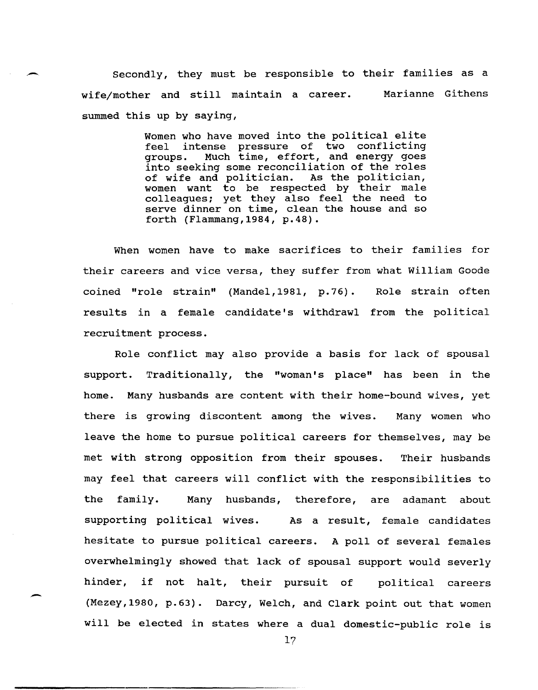Secondly, they must be responsible to their families as a wife/mother and still maintain a career. Marianne Githens summed this up by saying,

> Women who have moved into the political elite<br>feel intense pressure of two conflicting intense pressure of two conflicting groups. Much time, effort, and energy goes into seeking some reconciliation of the roles<br>of wife and politician. As the politician, of wife and politician. women want to be respected by their male women want to be respected by their mare serve dinner on time, clean the house and so forth (Flammang,1984, p.48).

When women have to make sacrifices to their families for their careers and vice versa, they suffer from what William Goode coined "role strain" (Mandel,1981, p.76). Role strain often results in a female candidate's withdrawl from the political recruitment process.

Role conflict may also provide a basis for lack of spousal support. Traditionally, the "woman's place" has been in the home. Many husbands are content with their home-bound wives, yet there is growing discontent among the wives. Many women who leave the home to pursue political careers for themselves, may be met with strong opposition from their spouses. Their husbands may feel that careers will conflict with the responsibilities to the family. Many husbands, therefore, are adamant about supporting political wives. As a result, female candidates hesitate to pursue political careers. A poll of several females overwhelmingly showed that lack of spousal support would severly hinder, if not halt, their pursuit of political careers (Mezey,198o, p.63). Darcy, Welch, and Clark point out that women will be elected in states where a dual domestic-public role is

17

-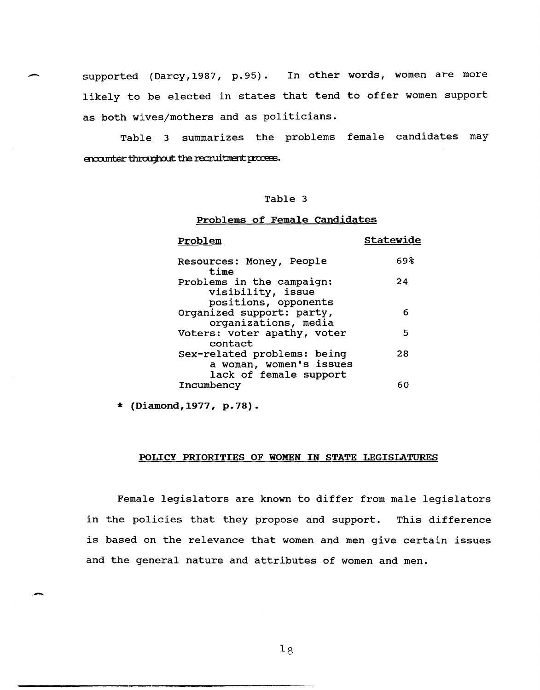supported (Darcy,1987, p.95). In other words, women are more likely to be elected in states that tend to offer women support as both wives/mothers and as politicians.

Table 3 summarizes the problems female candidates may encounter throughout the recruitment process.

#### Table 3

## Problems of Female Candidates

| 69%<br>Resources: Money, People<br>time<br>24<br>Problems in the campaign:<br>visibility, issue<br>positions, opponents<br>Organized support: party,<br>6<br>organizations, media<br>Voters: voter apathy, voter<br>5<br>contact<br>Sex-related problems: being<br>28<br>a woman, women's issues<br>lack of female support<br>Incumbency<br>60 | Problem | Statewide |
|------------------------------------------------------------------------------------------------------------------------------------------------------------------------------------------------------------------------------------------------------------------------------------------------------------------------------------------------|---------|-----------|
|                                                                                                                                                                                                                                                                                                                                                |         |           |
|                                                                                                                                                                                                                                                                                                                                                |         |           |
|                                                                                                                                                                                                                                                                                                                                                |         |           |
|                                                                                                                                                                                                                                                                                                                                                |         |           |
|                                                                                                                                                                                                                                                                                                                                                |         |           |
|                                                                                                                                                                                                                                                                                                                                                |         |           |

\* (Diamond,1977, p.78).

 $\overline{\phantom{a}}$ 

-

#### POLICY PRIORITIES OF WOMEN IN STATE LEGISLATURES

Female legislators are known to differ from male legislators in the policies that they propose and support. This difference is based on the relevance that women and men give certain issues and the general nature and attributes of women and men.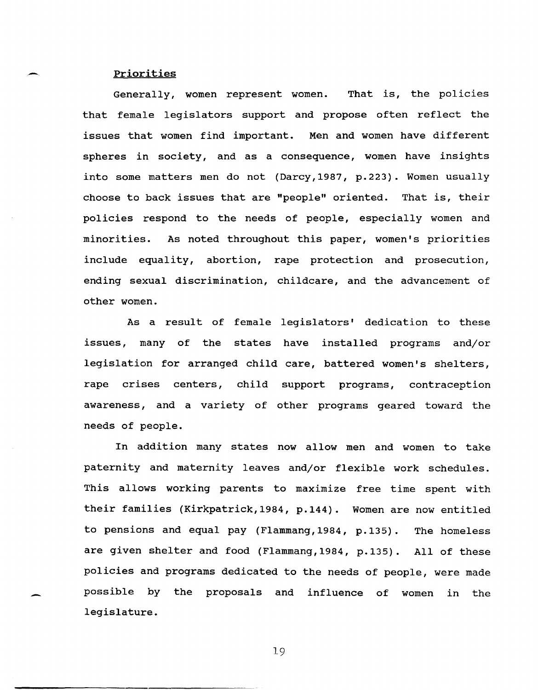#### Priorities

-

-

Generally, women represent women. That is, the policies that female legislators support and propose often reflect the issues that women find important. Men and women have different spheres in society, and as a consequence, women have insights into some matters men do not (Darcy, 1987, p.223). Women usually choose to back issues that are "people" oriented. That is, their policies respond to the needs of people, especially women and minorities. As noted throughout this paper, women's priorities include equality, abortion, rape protection and prosecution, ending sexual discrimination, childcare, and the advancement of other women.

As a result of female legislators' dedication to these issues, many of the states have installed programs and/or legislation for arranged child care, battered women's shelters, rape crises centers, child support programs, contraception awareness, and a variety of other programs geared toward the needs of people.

In addition many states now allow men and women to take paternity and maternity leaves and/or flexible work schedules. This allows working parents to maximize free time spent with their families (Kirkpatrick,1984, p.144). Women are now entitled to pensions and equal pay (Flammang, 1984, p.135). The homeless are given shelter and food (Flammang, 1984, p.135). All of these policies and programs dedicated to the needs of people, were made possible by the proposals and influence of women in the legislature.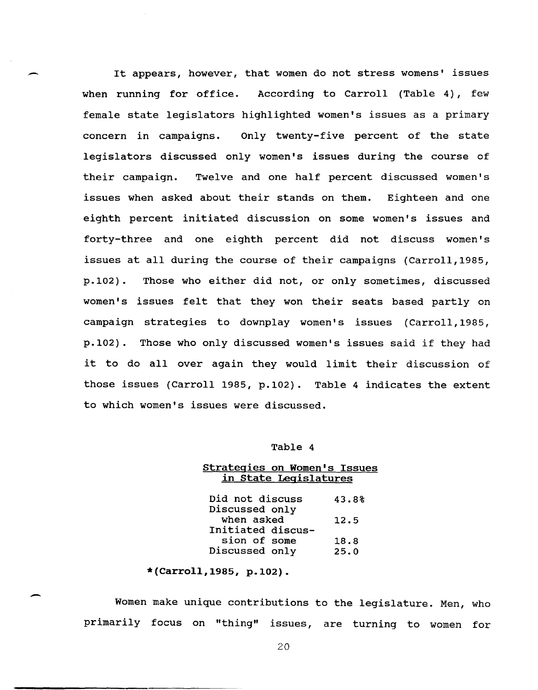It appears, however, that women do not stress womens' issues when running for office. According to Carroll (Table 4), few female state legislators highlighted women's issues as a primary concern in campaigns. Only twenty-five percent of the state legislators discussed only women's issues during the course of their campaign. Twelve and one half percent discussed women's issues when asked about their stands on them. Eighteen and one eighth percent initiated discussion on some women's issues and forty-three and one eighth percent did not discuss women's issues at all during the course of their campaigns (Carroll,1985, p.102) . Those who either did not, or only sometimes, discussed women's issues felt that they won their seats based partly on campaign strategies to downplay women's issues (Carroll,1985, p.102). Those who only discussed women's issues said if they had it to do all over again they would limit their discussion of those issues (Carroll 1985, p.102). Table 4 indicates the extent to which women's issues were discussed.

#### Table 4

#### strategies on Women's Issues in state Legislatures

Did not discuss Discussed only when asked Initiated discussion of some Discussed only 43.8% 12.5 18.8 25.0

#### \* (Carroll, 1985, p.102).

-

-

Women make unique contributions to the legislature. Men, who primarily focus on "thing" issues, are turning to women for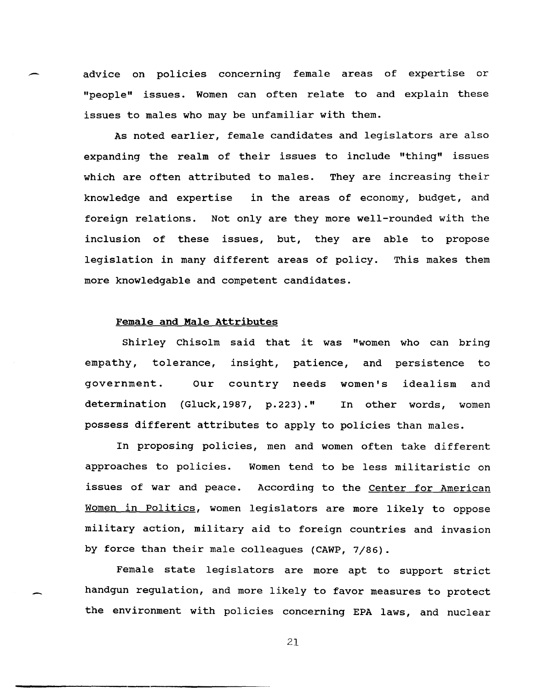advice on policies concerning female areas of expertise or "people" issues. Women can often relate to and explain these issues to males who may be unfamiliar with them.

As noted earlier, female candidates and legislators are also expanding the realm of their issues to include "thing" issues which are often attributed to males. They are increasing their knowledge and expertise in the areas of economy, budget, and foreign relations. Not only are they more well-rounded with the inclusion of these issues, but, they are able to propose legislation in many different areas of policy. This makes them more knowledgable and competent candidates.

## Female and Male Attributes

Shirley Chisolm said that it was "women who can bring empathy, tolerance, insight, patience, and persistence to government. Our country needs women's idealism and determination (Gluck,1987, p.223)." In other words, women possess different attributes to apply to policies than males.

In proposing policies, men and women often take different approaches to policies. Women tend to be less militaristic on issues of war and peace. According to the Center for American Women in Politics, women legislators are more likely to oppose military action, military aid to foreign countries and invasion by force than their male colleagues (CAWP, 7/86).

Female state legislators are more apt to support strict handgun regulation, and more likely to favor measures to protect the environment with policies concerning EPA laws, and nuclear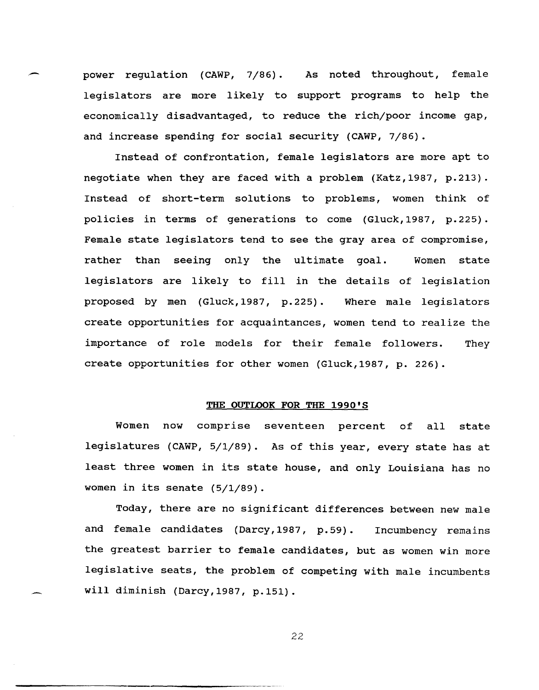- power regulation (CAWP, 7/86). legislators are more likely to support programs to help the As noted throughout, female economically disadvantaged, to reduce the rich/poor income gap, and increase spending for social security (CAWP, 7/86).

> Instead of confrontation, female legislators are more apt to negotiate when they are faced with a problem (Katz,1987, p.213). Instead of short-term solutions to problems, women think of pOlicies in terms of generations to come (Gluck, 1987, p. 225) . Female state legislators tend to see the gray area of compromise, rather than seeing only the ultimate goal. Women state legislators are likely to fill in the details of legislation proposed by men (Gluck, 1987, p. 225) . Where male legislators create opportunities for acquaintances, women tend to realize the importance of role models for their female followers. They create opportunities for other women (Gluck,1987, p. 226).

#### **THE OUTLOOK FOR THE 1990'S**

Women now comprise seventeen percent of all state legislatures (CAWP, 5/1/89). As of this year, every state has at least three women in its state house, and only Louisiana has no women in its senate (5/1/89).

Today, there are no significant differences between new male and female candidates (Darcy, 1987, p.59). Incumbency remains the greatest barrier to female candidates, but as women win more legislative seats, the problem of competing with male incumbents will diminish (Darcy, 1987, p.151).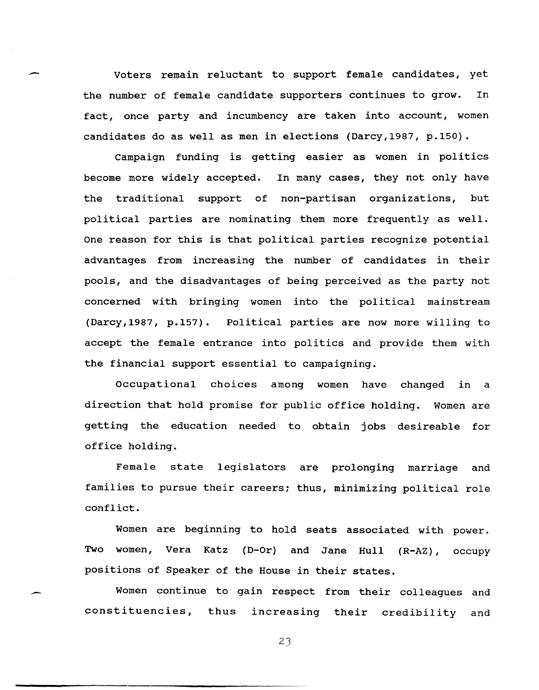voters remain reluctant to support female candidates, yet the number of female candidate supporters continues to grow. In fact, once party and incumbency are taken into account, women candidates do as well as men in elections (Darcy,1987, p.150).

Campaign funding is getting easier as women in politics become more widely accepted. In many cases, they not only have the traditional support of non-partisan organizations, but political parties are nominating them more frequently as well. One reason for this is that political parties recognize potential advantages from increasing the number of candidates in their pools, and the disadvantages of being perceived as the party not concerned with bringing women into the political mainstream (Darcy,1987, p.157). Political parties are now more willing to accept the female entrance into politics and provide them with the financial support essential to campaigning.

Occupational choices among women have changed in a direction that hold promise for public office holding. Women are getting the education needed to obtain jobs desireable for office holding.

Female state legislators are prolonging marriage and families to pursue their careers; thus, minimizing political role conflict.

Women are beginning to hold seats associated with power. Two women, Vera Katz (D-Or) and Jane Hull (R-AZ), occupy positions of Speaker of the House in their states.

Women continue to gain respect from their colleagues and constituencies, thus increasing their credibility and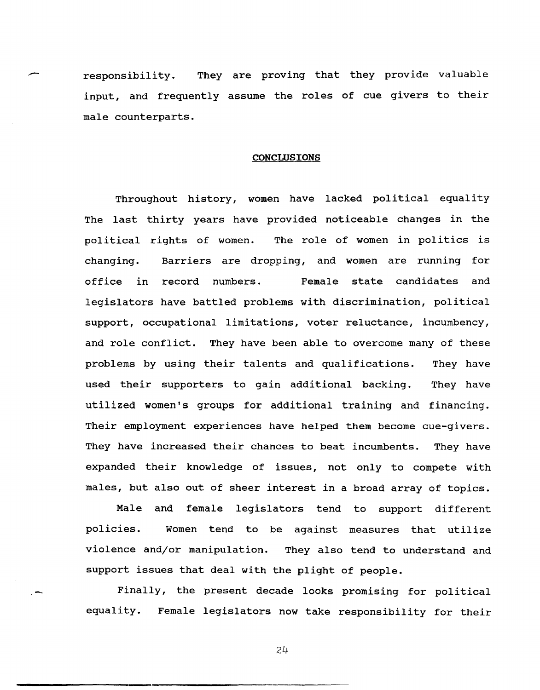responsibility. They are proving that they provide valuable input, and frequently assume the roles of cue givers to their male counterparts.

### **CONCLUSIONS**

Throughout history, women have lacked political equality The last thirty years have provided noticeable changes in the political rights of women. The role of women in politics is changing. office in Barriers are dropping, and women are running for record numbers. Female state candidates and legislators have battled problems with discrimination, political support, occupational limitations, voter reluctance, incumbency, and role conflict. They have been able to overcome many of these problems by using their talents and qualifications. They have used their supporters to gain additional backing. They have utilized women's groups for additional training and financing. Their employment experiences have helped them become cue-givers. They have increased their chances to beat incumbents. They have expanded their knowledge of issues, not only to compete with males, but also out of sheer interest in a broad array of topics.

Male and female legislators tend to support different pOlicies. Women tend to be against measures that utilize violence and/or manipulation. They also tend to understand and support issues that deal with the plight of people.

Finally, the present decade looks promising for political equality. Female legislators now take responsibility for their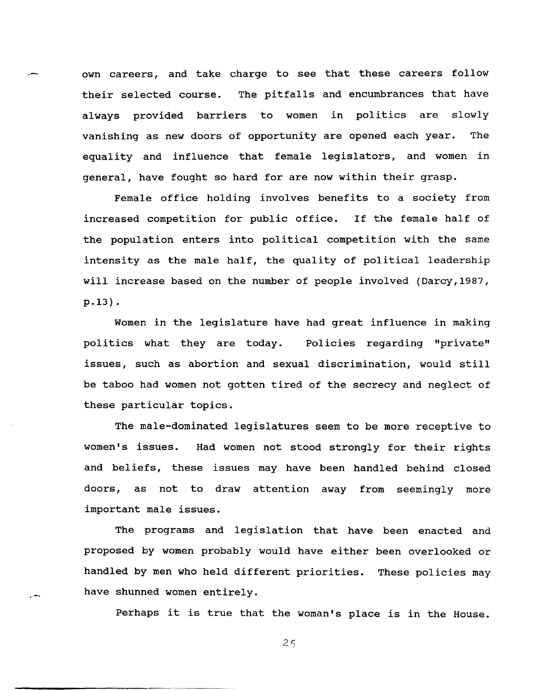own careers, and take charge to see that these careers follow their selected course. The pitfalls and encumbrances that have always provided barriers to women in politics are slowly vanishing as new doors of opportunity are opened each year. The equality and influence that female legislators, and women in general, have fought so hard for are now within their grasp.

Female office holding involves benefits to a society from increased competition for public office. If the female half of the population enters into political competition with the same intensity as the male half, the quality of political leadership will increase based on the number of people involved (Darcy,1987, p. 13) •

Women in the legislature have had great influence in making politics what they are today. Policies regarding "private" issues, such as abortion and sexual discrimination, would still be taboo had women not gotten tired of the secrecy and neglect of these particular topics.

The male-dominated legislatures seem to be more receptive to women's issues. Had women not stood strongly for their rights and beliefs, these issues may have been handled behind closed doors, as not to draw attention away from seemingly more important male issues.

The programs and legislation that have been enacted and proposed by women probably would have either been overlooked or handled by men who held different priorities. These policies may have shunned women entirely.

. -.

Perhaps it is true that the woman's place is in the House.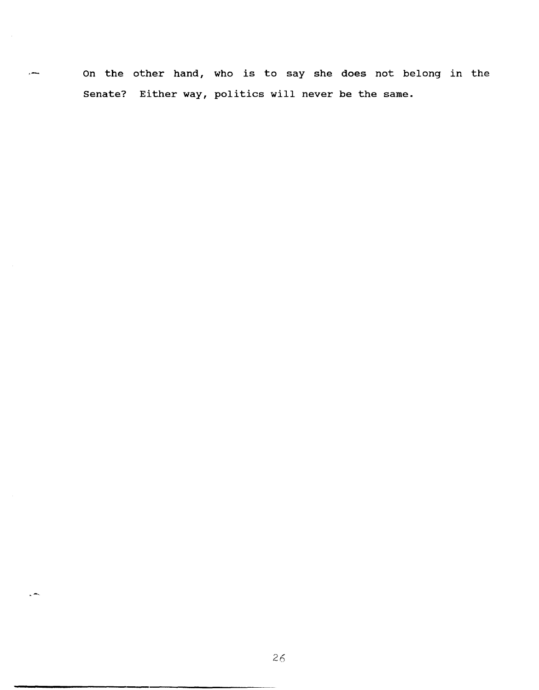On the other hand, who is to say she does not belong in the Senate? Either way, politics will never be the same .

 $\overline{a}$ 

 $\lambda$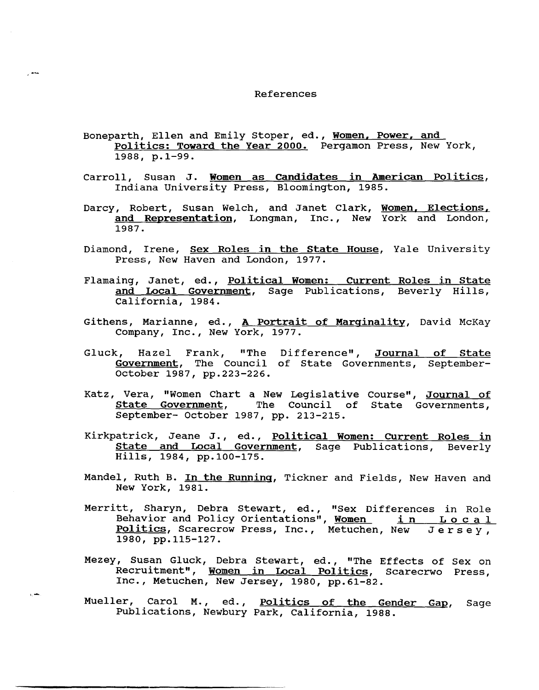#### References

- Boneparth, Ellen and Emily Stoper, ed., Women, Power, and Politics: Toward the Year 2000. Pergamon Press, New York, 1988, p.1-99.
- Carroll, Susan J. Women as Candidates in American Politics, Indiana University Press, Bloomington, 1985.
- Darcy, Robert, Susan Welch, and Janet Clark, <u>Wo<mark>men, Elections,</mark></u> and Representation, Longman, Inc., New York and London, 1987.
- Diamond, Irene, Sex Roles in the State House, Yale University Press, New Haven and London, 1977.
- Flamaing, Janet, ed., Political Women: Current Roles in State and Local Government, Sage Publications, Beverly Hills, California, 1984.
- Githens, Marianne, ed., A Portrait of Marginality, David McKay Company, Inc., New York, 1977.
- Gluck, Hazel Frank, "The Difference", Journal of State Covernment, The Council of State Governments, Septemberoctober 1987, pp.223-226.
- Katz, Vera, "Women Chart a New Legislative Course", Journal of state Government, The Council of State Governments, Septernber- October 1987, pp. 213-215.
- Kirkpatrick, Jeane J., ed., Political Women: Current Roles in state and Local Government, Sage Publications, Beverly Hills, 1984, pp.100-175.
- Mandel, Ruth B. In the Running, Tickner and Fields, New Haven and New York, 1981.
- Merritt, Sharyn, Debra Stewart, ed., "Sex Differences in Role Behavior and Policy Orientations", Women in Local Benavior and Policy Orientations", <u>women the Local</u><br><u>Politics</u>, Scarecrow Press, Inc., Metuchen, New Jersey,<br>1980, pp.115-127.
- Mezey, Susan Gluck, Debra Stewart, ed., "The Effects of Sex on Recruitment", Women in Local Politics, Scarecrwo Press, Inc., Metuchen, New Jersey, 1980, pp.61-82 .
- Mueller, Carol M., ed., Politics of the Gender Gap, Sage Publications, Newbury Park, California, 1988.

. -

 $\chi$  and